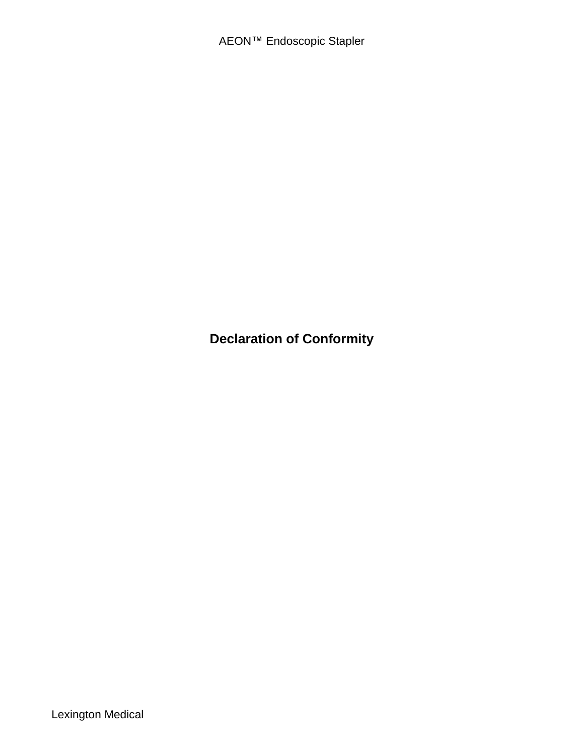**Declaration of Conformity**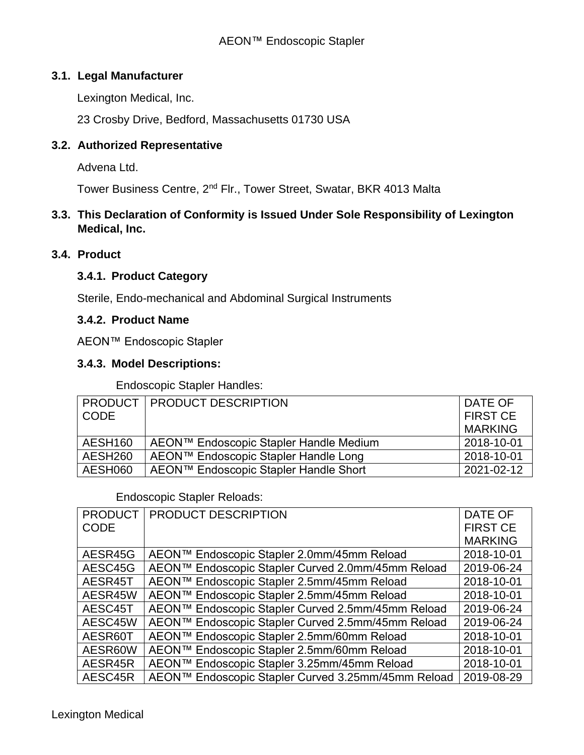## **3.1. Legal Manufacturer**

Lexington Medical, Inc.

23 Crosby Drive, Bedford, Massachusetts 01730 USA

## **3.2. Authorized Representative**

Advena Ltd.

Tower Business Centre, 2<sup>nd</sup> Flr., Tower Street, Swatar, BKR 4013 Malta

## **3.3. This Declaration of Conformity is Issued Under Sole Responsibility of Lexington Medical, Inc.**

## **3.4. Product**

#### **3.4.1. Product Category**

Sterile, Endo-mechanical and Abdominal Surgical Instruments

#### **3.4.2. Product Name**

AEON™ Endoscopic Stapler

#### **3.4.3. Model Descriptions:**

Endoscopic Stapler Handles:

| <b>CODE</b> | <b>PRODUCT   PRODUCT DESCRIPTION</b>   | DATE OF<br><b>FIRST CE</b><br><b>MARKING</b> |
|-------------|----------------------------------------|----------------------------------------------|
| AESH160     | AEON™ Endoscopic Stapler Handle Medium | 2018-10-01                                   |
| AESH260     | AEON™ Endoscopic Stapler Handle Long   | 2018-10-01                                   |
| AESH060     | AEON™ Endoscopic Stapler Handle Short  | 2021-02-12                                   |

#### Endoscopic Stapler Reloads:

| <b>PRODUCT</b> | PRODUCT DESCRIPTION                                | DATE OF         |
|----------------|----------------------------------------------------|-----------------|
| <b>CODE</b>    |                                                    | <b>FIRST CE</b> |
|                |                                                    | <b>MARKING</b>  |
| AESR45G        | AEON™ Endoscopic Stapler 2.0mm/45mm Reload         | 2018-10-01      |
| AESC45G        | AEON™ Endoscopic Stapler Curved 2.0mm/45mm Reload  | 2019-06-24      |
| AESR45T        | AEON™ Endoscopic Stapler 2.5mm/45mm Reload         | 2018-10-01      |
| AESR45W        | AEON™ Endoscopic Stapler 2.5mm/45mm Reload         | 2018-10-01      |
| AESC45T        | AEON™ Endoscopic Stapler Curved 2.5mm/45mm Reload  | 2019-06-24      |
| AESC45W        | AEON™ Endoscopic Stapler Curved 2.5mm/45mm Reload  | 2019-06-24      |
| AESR60T        | AEON™ Endoscopic Stapler 2.5mm/60mm Reload         | 2018-10-01      |
| AESR60W        | AEON™ Endoscopic Stapler 2.5mm/60mm Reload         | 2018-10-01      |
| AESR45R        | AEON™ Endoscopic Stapler 3.25mm/45mm Reload        | 2018-10-01      |
| AESC45R        | AEON™ Endoscopic Stapler Curved 3.25mm/45mm Reload | 2019-08-29      |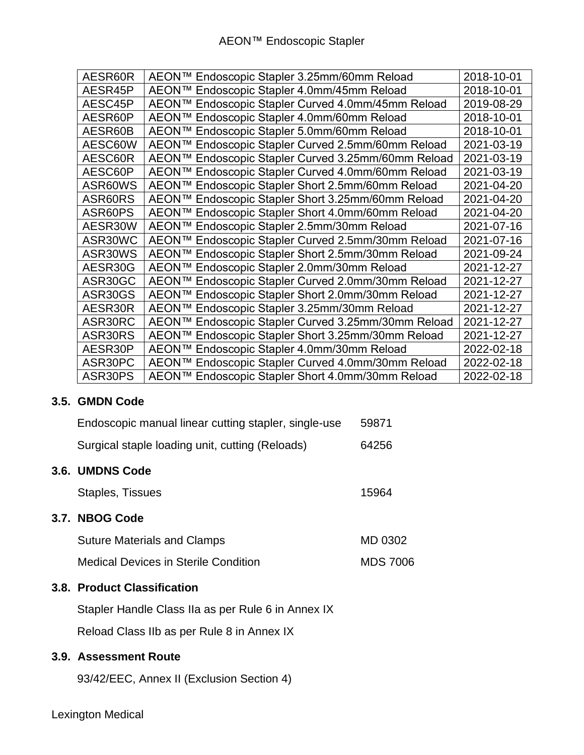| AESR60R | AEON™ Endoscopic Stapler 3.25mm/60mm Reload        | 2018-10-01 |
|---------|----------------------------------------------------|------------|
|         |                                                    |            |
| AESR45P | AEON™ Endoscopic Stapler 4.0mm/45mm Reload         | 2018-10-01 |
| AESC45P | AEON™ Endoscopic Stapler Curved 4.0mm/45mm Reload  | 2019-08-29 |
| AESR60P | AEON™ Endoscopic Stapler 4.0mm/60mm Reload         | 2018-10-01 |
| AESR60B | AEON™ Endoscopic Stapler 5.0mm/60mm Reload         | 2018-10-01 |
| AESC60W | AEON™ Endoscopic Stapler Curved 2.5mm/60mm Reload  | 2021-03-19 |
| AESC60R | AEON™ Endoscopic Stapler Curved 3.25mm/60mm Reload | 2021-03-19 |
| AESC60P | AEON™ Endoscopic Stapler Curved 4.0mm/60mm Reload  | 2021-03-19 |
| ASR60WS | AEON™ Endoscopic Stapler Short 2.5mm/60mm Reload   | 2021-04-20 |
| ASR60RS | AEON™ Endoscopic Stapler Short 3.25mm/60mm Reload  | 2021-04-20 |
| ASR60PS | AEON™ Endoscopic Stapler Short 4.0mm/60mm Reload   | 2021-04-20 |
| AESR30W | AEON™ Endoscopic Stapler 2.5mm/30mm Reload         | 2021-07-16 |
| ASR30WC | AEON™ Endoscopic Stapler Curved 2.5mm/30mm Reload  | 2021-07-16 |
| ASR30WS | AEON™ Endoscopic Stapler Short 2.5mm/30mm Reload   | 2021-09-24 |
| AESR30G | AEON™ Endoscopic Stapler 2.0mm/30mm Reload         | 2021-12-27 |
| ASR30GC | AEON™ Endoscopic Stapler Curved 2.0mm/30mm Reload  | 2021-12-27 |
| ASR30GS | AEON™ Endoscopic Stapler Short 2.0mm/30mm Reload   | 2021-12-27 |
| AESR30R | AEON™ Endoscopic Stapler 3.25mm/30mm Reload        | 2021-12-27 |
| ASR30RC | AEON™ Endoscopic Stapler Curved 3.25mm/30mm Reload | 2021-12-27 |
| ASR30RS | AEON™ Endoscopic Stapler Short 3.25mm/30mm Reload  | 2021-12-27 |
| AESR30P | AEON™ Endoscopic Stapler 4.0mm/30mm Reload         | 2022-02-18 |
| ASR30PC | AEON™ Endoscopic Stapler Curved 4.0mm/30mm Reload  | 2022-02-18 |
| ASR30PS | AEON™ Endoscopic Stapler Short 4.0mm/30mm Reload   | 2022-02-18 |

## **3.5. GMDN Code**

| Endoscopic manual linear cutting stapler, single-use | 59871           |
|------------------------------------------------------|-----------------|
| Surgical staple loading unit, cutting (Reloads)      | 64256           |
| 3.6. UMDNS Code                                      |                 |
| Staples, Tissues                                     | 15964           |
| 3.7. NBOG Code                                       |                 |
| <b>Suture Materials and Clamps</b>                   | MD 0302         |
| <b>Medical Devices in Sterile Condition</b>          | <b>MDS 7006</b> |
| 3.8. Product Classification                          |                 |
| Stapler Handle Class IIa as per Rule 6 in Annex IX   |                 |

Reload Class IIb as per Rule 8 in Annex IX

# **3.9. Assessment Route**

93/42/EEC, Annex II (Exclusion Section 4)